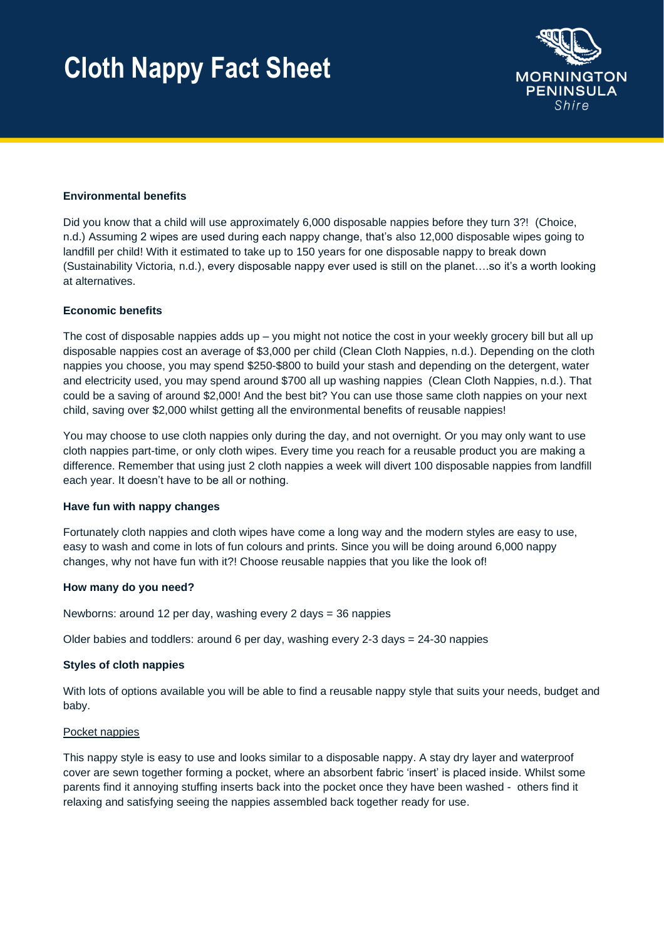## **Cloth Nappy Fact Sheet**



## **Environmental benefits**

Did you know that a child will use approximately 6,000 disposable nappies before they turn 3?! (Choice, n.d.) Assuming 2 wipes are used during each nappy change, that's also 12,000 disposable wipes going to landfill per child! With it estimated to take up to 150 years for one disposable nappy to break down (Sustainability Victoria, n.d.), every disposable nappy ever used is still on the planet….so it's a worth looking at alternatives.

## **Economic benefits**

The cost of disposable nappies adds up  $-$  you might not notice the cost in your weekly grocery bill but all up disposable nappies cost an average of \$3,000 per child (Clean Cloth Nappies, n.d.). Depending on the cloth nappies you choose, you may spend \$250-\$800 to build your stash and depending on the detergent, water and electricity used, you may spend around \$700 all up washing nappies (Clean Cloth Nappies, n.d.). That could be a saving of around \$2,000! And the best bit? You can use those same cloth nappies on your next child, saving over \$2,000 whilst getting all the environmental benefits of reusable nappies!

You may choose to use cloth nappies only during the day, and not overnight. Or you may only want to use cloth nappies part-time, or only cloth wipes. Every time you reach for a reusable product you are making a difference. Remember that using just 2 cloth nappies a week will divert 100 disposable nappies from landfill each year. It doesn't have to be all or nothing.

## **Have fun with nappy changes**

Fortunately cloth nappies and cloth wipes have come a long way and the modern styles are easy to use, easy to wash and come in lots of fun colours and prints. Since you will be doing around 6,000 nappy changes, why not have fun with it?! Choose reusable nappies that you like the look of!

## **How many do you need?**

Newborns: around 12 per day, washing every 2 days = 36 nappies

Older babies and toddlers: around 6 per day, washing every  $2-3$  days =  $24-30$  nappies

## **Styles of cloth nappies**

With lots of options available you will be able to find a reusable nappy style that suits your needs, budget and baby.

## Pocket nappies

This nappy style is easy to use and looks similar to a disposable nappy. A stay dry layer and waterproof cover are sewn together forming a pocket, where an absorbent fabric 'insert' is placed inside. Whilst some parents find it annoying stuffing inserts back into the pocket once they have been washed - others find it relaxing and satisfying seeing the nappies assembled back together ready for use.